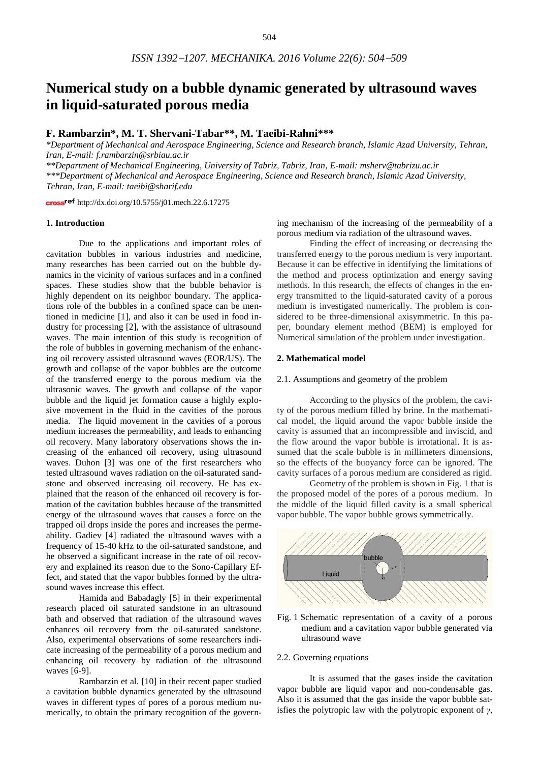# **Numerical study on a bubble dynamic generated by ultrasound waves in liquid-saturated porous media**

# **F. Rambarzin\*, M. T. Shervani-Tabar\*\*, M. Taeibi-Rahni\*\*\***

*\*Department of Mechanical and Aerospace Engineering, Science and Research branch, Islamic Azad University, Tehran, Iran, E-mail: f.rambarzin@srbiau.ac.ir*

*\*\*Department of Mechanical Engineering, University of Tabriz, Tabriz, Iran, E-mail: msherv@tabrizu.ac.ir*

*\*\*\*Department of Mechanical and Aerospace Engineering, Science and Research branch, Islamic Azad University, Tehran, Iran, E-mail: taeibi@sharif.edu*

cross<sup>ref</sup> <http://dx.doi.org/10.5755/j01.mech.22.6.17275>

## **1. Introduction**

Due to the applications and important roles of cavitation bubbles in various industries and medicine, many researches has been carried out on the bubble dynamics in the vicinity of various surfaces and in a confined spaces. These studies show that the bubble behavior is highly dependent on its neighbor boundary. The applications role of the bubbles in a confined space can be mentioned in medicine [1], and also it can be used in food industry for processing [2], with the assistance of ultrasound waves. The main intention of this study is recognition of the role of bubbles in governing mechanism of the enhancing oil recovery assisted ultrasound waves (EOR/US). The growth and collapse of the vapor bubbles are the outcome of the transferred energy to the porous medium via the ultrasonic waves. The growth and collapse of the vapor bubble and the liquid jet formation cause a highly explosive movement in the fluid in the cavities of the porous media. The liquid movement in the cavities of a porous medium increases the permeability, and leads to enhancing oil recovery. Many laboratory observations shows the increasing of the enhanced oil recovery, using ultrasound waves. Duhon [3] was one of the first researchers who tested ultrasound waves radiation on the oil-saturated sandstone and observed increasing oil recovery. He has explained that the reason of the enhanced oil recovery is formation of the cavitation bubbles because of the transmitted energy of the ultrasound waves that causes a force on the trapped oil drops inside the pores and increases the permeability. Gadiev [4] radiated the ultrasound waves with a frequency of 15-40 kHz to the oil-saturated sandstone, and he observed a significant increase in the rate of oil recovery and explained its reason due to the Sono-Capillary Effect, and stated that the vapor bubbles formed by the ultrasound waves increase this effect.

Hamida and Babadagly [5] in their experimental research placed oil saturated sandstone in an ultrasound bath and observed that radiation of the ultrasound waves enhances oil recovery from the oil-saturated sandstone. Also, experimental observations of some researchers indicate increasing of the permeability of a porous medium and enhancing oil recovery by radiation of the ultrasound waves [6-9].

Rambarzin et al. [10] in their recent paper studied a cavitation bubble dynamics generated by the ultrasound waves in different types of pores of a porous medium numerically, to obtain the primary recognition of the governing mechanism of the increasing of the permeability of a porous medium via radiation of the ultrasound waves.

Finding the effect of increasing or decreasing the transferred energy to the porous medium is very important. Because it can be effective in identifying the limitations of the method and process optimization and energy saving methods. In this research, the effects of changes in the energy transmitted to the liquid-saturated cavity of a porous medium is investigated numerically. The problem is considered to be three-dimensional axisymmetric. In this paper, boundary element method (BEM) is employed for Numerical simulation of the problem under investigation.

#### **2. Mathematical model**

#### 2.1. Assumptions and geometry of the problem

According to the physics of the problem, the cavity of the porous medium filled by brine. In the mathematical model, the liquid around the vapor bubble inside the cavity is assumed that an incompressible and inviscid, and the flow around the vapor bubble is irrotational. It is assumed that the scale bubble is in millimeters dimensions, so the effects of the buoyancy force can be ignored. The cavity surfaces of a porous medium are considered as rigid.

Geometry of the problem is shown in Fig. 1 that is the proposed model of the pores of a porous medium. In the middle of the liquid filled cavity is a small spherical vapor bubble. The vapor bubble grows symmetrically.



Fig. 1 Schematic representation of a cavity of a porous medium and a cavitation vapor bubble generated via ultrasound wave

## 2.2. Governing equations

It is assumed that the gases inside the cavitation vapor bubble are liquid vapor and non-condensable gas. Also it is assumed that the gas inside the vapor bubble satisfies the polytropic law with the polytropic exponent of *γ*,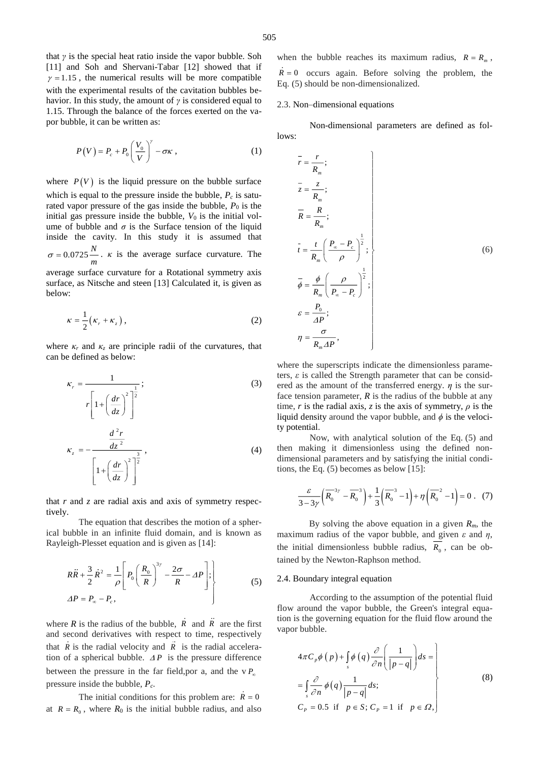that *γ* is the special heat ratio inside the vapor bubble. Soh [11] and Soh and Shervani-Tabar [12] showed that if  $\gamma = 1.15$ , the numerical results will be more compatible with the experimental results of the cavitation bubbles behavior. In this study, the amount of *γ* is considered equal to 1.15. Through the balance of the forces exerted on the vapor bubble, it can be written as:

$$
P(V) = P_c + P_0 \left(\frac{V_0}{V}\right)^{\gamma} - \sigma \kappa , \qquad (1)
$$

where  $P(V)$  is the liquid pressure on the bubble surface which is equal to the pressure inside the bubble,  $P_c$  is saturated vapor pressure of the gas inside the bubble,  $P_0$  is the initial gas pressure inside the bubble,  $V_0$  is the initial volume of bubble and  $\sigma$  is the Surface tension of the liquid inside the cavity. In this study it is assumed that  $\sigma = 0.0725 \frac{N}{m}$ . *κ* is the average surface curvature. The

average surface curvature for a Rotational symmetry axis surface, as Nitsche and steen [13] Calculated it, is given as below:

$$
\kappa = \frac{1}{2} \left( \kappa_r + \kappa_z \right),\tag{2}
$$

where  $\kappa_r$  and  $\kappa_z$  are principle radii of the curvatures, that can be defined as below:

$$
\kappa_r = \frac{1}{r \left[ 1 + \left( \frac{dr}{dz} \right)^2 \right]^{\frac{1}{2}}};
$$
\n
$$
\kappa_z = -\frac{\frac{d^2r}{dz^2}}{\left[ 1 + \left( \frac{dr}{dz} \right)^2 \right]^{\frac{3}{2}}},
$$
\n(4)

that *r* and *z* are radial axis and axis of symmetry respectively.

The equation that describes the motion of a spherical bubble in an infinite fluid domain, and is known as Rayleigh-Plesset equation and is given as [14]:

$$
R\ddot{R} + \frac{3}{2}\dot{R}^2 = \frac{1}{\rho} \left[ P_0 \left( \frac{R_0}{R} \right)^{3\gamma} - \frac{2\sigma}{R} - \Delta P \right];
$$
  
\n
$$
\Delta P = P_{\infty} - P_c,
$$
\n(5)

where  $R$  is the radius of the bubble,  $R$  and  $R$  are the first and second derivatives with respect to time, respectively that  $R$  is the radial velocity and  $R$  is the radial acceleration of a spherical bubble.  $\Delta P$  is the pressure difference between the pressure in the far field, por a, and the  $\vee P_{\infty}$ pressure inside the bubble, *Pc*.

The initial conditions for this problem are:  $R = 0$ at  $R = R_0$ , where  $R_0$  is the initial bubble radius, and also

when the bubble reaches its maximum radius,  $R = R_m$ ,  $R = 0$  occurs again. Before solving the problem, the Eq. (5) should be non-dimensionalized.

## 2.3. Non–dimensional equations

Non-dimensional parameters are defined as follows:

$$
\overline{r} = \frac{r}{R_m};
$$
\n
$$
\overline{z} = \frac{z}{R_m};
$$
\n
$$
\overline{R} = \frac{R}{R_m};
$$
\n
$$
\overline{t} = \frac{t}{R_m} \left( \frac{P_{\infty} - P_c}{\rho} \right)^{\frac{1}{2}};
$$
\n
$$
\overline{\phi} = \frac{\phi}{R_m} \left( \frac{\rho}{P_{\infty} - P_c} \right)^{\frac{1}{2}};
$$
\n
$$
\varepsilon = \frac{P_0}{AP};
$$
\n
$$
\eta = \frac{\sigma}{R_m \Delta P},
$$
\n(6)

where the superscripts indicate the dimensionless parameters,  $\varepsilon$  is called the Strength parameter that can be considered as the amount of the transferred energy.  $\eta$  is the surface tension parameter,  $R$  is the radius of the bubble at any time, *r* is the radial axis, *z* is the axis of symmetry,  $\rho$  is the liquid density around the vapor bubble, and  $\phi$  is the velocity potential.

Now, with analytical solution of the Eq. (5) and then making it dimensionless using the defined nondimensional parameters and by satisfying the initial conditions, the Eq. (5) becomes as below [15]:

$$
\frac{\varepsilon}{3-3\gamma} \left( \overline{R_0}^{3\gamma} - \overline{R_0}^3 \right) + \frac{1}{3} \left( \overline{R_0}^3 - 1 \right) + \eta \left( \overline{R_0}^2 - 1 \right) = 0 \ . \tag{7}
$$

By solving the above equation in a given *Rm*, the maximum radius of the vapor bubble, and given *ε* and *η*, the initial dimensionless bubble radius,  $R_0$ , can be obtained by the Newton-Raphson method.

#### 2.4. Boundary integral equation

According to the assumption of the potential fluid flow around the vapor bubble, the Green's integral equation is the governing equation for the fluid flow around the vapor bubble.

$$
4\pi C_p \phi(p) + \int_s \phi(q) \frac{\partial}{\partial n} \left( \frac{1}{|p-q|} \right) ds =
$$
  
= 
$$
\int_s \frac{\partial}{\partial n} \phi(q) \frac{1}{|p-q|} ds;
$$
  

$$
C_p = 0.5 \text{ if } p \in S; C_p = 1 \text{ if } p \in \Omega,
$$
 (8)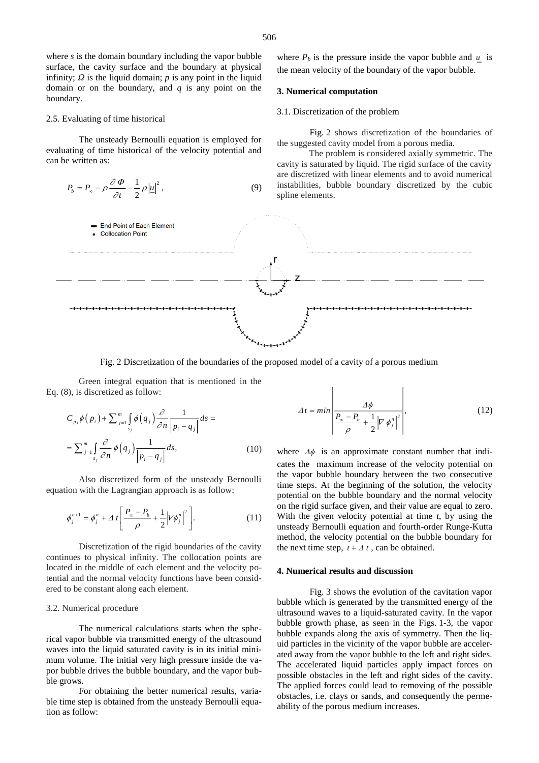where *s* is the domain boundary including the vapor bubble surface, the cavity surface and the boundary at physical infinity;  $Q$  is the liquid domain;  $p$  is any point in the liquid domain or on the boundary, and *q* is any point on the boundary.

#### 2.5. Evaluating of time historical

The unsteady Bernoulli equation is employed for evaluating of time historical of the velocity potential and can be written as:

$$
P_b = P_{\infty} - \rho \frac{\partial \Phi}{\partial t} - \frac{1}{2} \rho |\underline{u}|^2, \qquad (9)
$$

where  $P_b$  is the pressure inside the vapor bubble and  $\mu$  is the mean velocity of the boundary of the vapor bubble.

## **3. Numerical computation**

## 3.1. Discretization of the problem

Fig. 2 shows discretization of the boundaries of the suggested cavity model from a porous media.

The problem is considered axially symmetric. The cavity is saturated by liquid. The rigid surface of the cavity are discretized with linear elements and to avoid numerical instabilities, bubble boundary discretized by the cubic spline elements.



Fig. 2 Discretization of the boundaries of the proposed model of a cavity of a porous medium

Green integral equation that is mentioned in the Eq. (8), is discretized as follow:

$$
C_{p_i}\phi(p_i) + \sum_{j=1}^m \int_{s_j} \phi(q_j) \frac{\partial}{\partial n} \frac{1}{|p_i - q_j|} ds =
$$
  
= 
$$
\sum_{j=1}^m \int_{s_j} \frac{\partial}{\partial n} \phi(q_j) \frac{1}{|p_i - q_j|} ds,
$$
 (10)

Also discretized form of the unsteady Bernoulli equation with the Lagrangian approach is as follow:

$$
\phi_j^{n+1} = \phi_j^n + \Delta t \left[ \frac{P_{\infty} - P_b}{\rho} + \frac{1}{2} \left| \nabla \phi_j^n \right|^2 \right].
$$
 (11)

Discretization of the rigid boundaries of the cavity continues to physical infinity. The collocation points are located in the middle of each element and the velocity potential and the normal velocity functions have been considered to be constant along each element.

### 3.2. Numerical procedure

The numerical calculations starts when the spherical vapor bubble via transmitted energy of the ultrasound waves into the liquid saturated cavity is in its initial minimum volume. The initial very high pressure inside the vapor bubble drives the bubble boundary, and the vapor bubble grows.

For obtaining the better numerical results, variable time step is obtained from the unsteady Bernoulli equation as follow:

$$
\Delta t = \min \left| \frac{\Delta \phi}{\frac{P_{\infty} - P_b}{\rho} + \frac{1}{2} \left| \nabla \phi_j^n \right|^2} \right|,\tag{12}
$$

where  $\Delta\phi$  is an approximate constant number that indicates the maximum increase of the velocity potential on the vapor bubble boundary between the two consecutive time steps. At the beginning of the solution, the velocity potential on the bubble boundary and the normal velocity on the rigid surface given, and their value are equal to zero. With the given velocity potential at time *t*, by using the unsteady Bernoulli equation and fourth-order Runge-Kutta method, the velocity potential on the bubble boundary for the next time step,  $t + \Delta t$ , can be obtained.

#### **4. Numerical results and discussion**

Fig. 3 shows the evolution of the cavitation vapor bubble which is generated by the transmitted energy of the ultrasound waves to a liquid-saturated cavity. In the vapor bubble growth phase, as seen in the Figs. 1-3, the vapor bubble expands along the axis of symmetry. Then the liquid particles in the vicinity of the vapor bubble are accelerated away from the vapor bubble to the left and right sides. The accelerated liquid particles apply impact forces on possible obstacles in the left and right sides of the cavity. The applied forces could lead to removing of the possible obstacles, i.e. clays or sands, and consequently the permeability of the porous medium increases.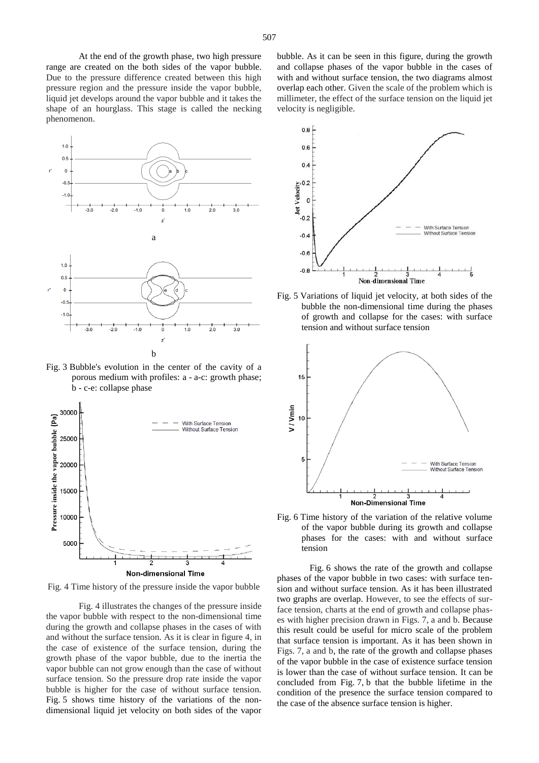At the end of the growth phase, two high pressure range are created on the both sides of the vapor bubble. Due to the pressure difference created between this high pressure region and the pressure inside the vapor bubble, liquid jet develops around the vapor bubble and it takes the shape of an hourglass. This stage is called the necking phenomenon.



Fig. 3 Bubble's evolution in the center of the cavity of a porous medium with profiles: a - a-c: growth phase; b - c-e: collapse phase



Fig. 4 Time history of the pressure inside the vapor bubble

Fig. 4 illustrates the changes of the pressure inside the vapor bubble with respect to the non-dimensional time during the growth and collapse phases in the cases of with and without the surface tension. As it is clear in figure 4, in the case of existence of the surface tension, during the growth phase of the vapor bubble, due to the inertia the vapor bubble can not grow enough than the case of without surface tension. So the pressure drop rate inside the vapor bubble is higher for the case of without surface tension. Fig. 5 shows time history of the variations of the nondimensional liquid jet velocity on both sides of the vapor

bubble. As it can be seen in this figure, during the growth and collapse phases of the vapor bubble in the cases of with and without surface tension, the two diagrams almost overlap each other. Given the scale of the problem which is millimeter, the effect of the surface tension on the liquid jet velocity is negligible.



Fig. 5 Variations of liquid jet velocity, at both sides of the bubble the non-dimensional time during the phases of growth and collapse for the cases: with surface tension and without surface tension



Fig. 6 Time history of the variation of the relative volume of the vapor bubble during its growth and collapse phases for the cases: with and without surface tension

Fig. 6 shows the rate of the growth and collapse phases of the vapor bubble in two cases: with surface tension and without surface tension. As it has been illustrated two graphs are overlap. However, to see the effects of surface tension, charts at the end of growth and collapse phases with higher precision drawn in Figs. 7, a and b. Because this result could be useful for micro scale of the problem that surface tension is important. As it has been shown in Figs. 7, a and b, the rate of the growth and collapse phases of the vapor bubble in the case of existence surface tension is lower than the case of without surface tension. It can be concluded from Fig. 7, b that the bubble lifetime in the condition of the presence the surface tension compared to the case of the absence surface tension is higher.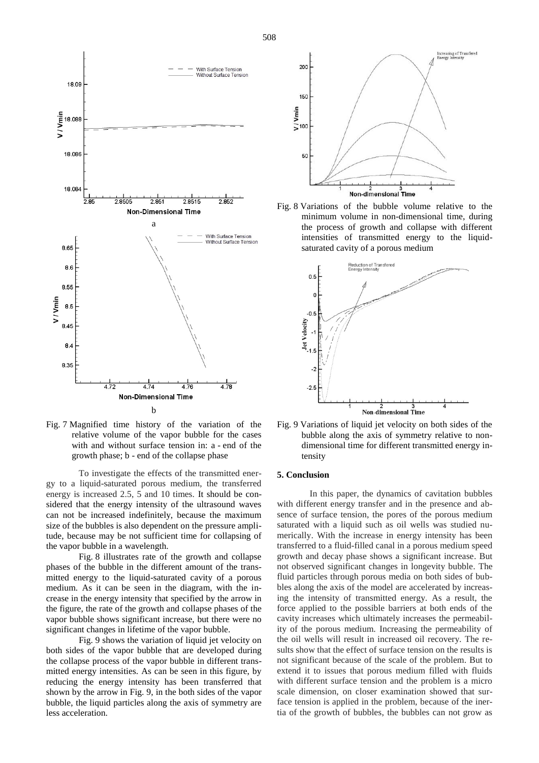

Fig. 7 Magnified time history of the variation of the relative volume of the vapor bubble for the cases with and without surface tension in: a - end of the growth phase; b - end of the collapse phase

To investigate the effects of the transmitted energy to a liquid-saturated porous medium, the transferred energy is increased 2.5, 5 and 10 times. It should be considered that the energy intensity of the ultrasound waves can not be increased indefinitely, because the maximum size of the bubbles is also dependent on the pressure amplitude, because may be not sufficient time for collapsing of the vapor bubble in a wavelength.

Fig. 8 illustrates rate of the growth and collapse phases of the bubble in the different amount of the transmitted energy to the liquid-saturated cavity of a porous medium. As it can be seen in the diagram, with the increase in the energy intensity that specified by the arrow in the figure, the rate of the growth and collapse phases of the vapor bubble shows significant increase, but there were no significant changes in lifetime of the vapor bubble.

Fig. 9 shows the variation of liquid jet velocity on both sides of the vapor bubble that are developed during the collapse process of the vapor bubble in different transmitted energy intensities. As can be seen in this figure, by reducing the energy intensity has been transferred that shown by the arrow in Fig. 9, in the both sides of the vapor bubble, the liquid particles along the axis of symmetry are less acceleration.



Fig. 8 Variations of the bubble volume relative to the minimum volume in non-dimensional time, during the process of growth and collapse with different intensities of transmitted energy to the liquidsaturated cavity of a porous medium



Fig. 9 Variations of liquid jet velocity on both sides of the bubble along the axis of symmetry relative to nondimensional time for different transmitted energy intensity

## **5. Conclusion**

In this paper, the dynamics of cavitation bubbles with different energy transfer and in the presence and absence of surface tension, the pores of the porous medium saturated with a liquid such as oil wells was studied numerically. With the increase in energy intensity has been transferred to a fluid-filled canal in a porous medium speed growth and decay phase shows a significant increase. But not observed significant changes in longevity bubble. The fluid particles through porous media on both sides of bubbles along the axis of the model are accelerated by increasing the intensity of transmitted energy. As a result, the force applied to the possible barriers at both ends of the cavity increases which ultimately increases the permeability of the porous medium. Increasing the permeability of the oil wells will result in increased oil recovery. The results show that the effect of surface tension on the results is not significant because of the scale of the problem. But to extend it to issues that porous medium filled with fluids with different surface tension and the problem is a micro scale dimension, on closer examination showed that surface tension is applied in the problem, because of the inertia of the growth of bubbles, the bubbles can not grow as

508